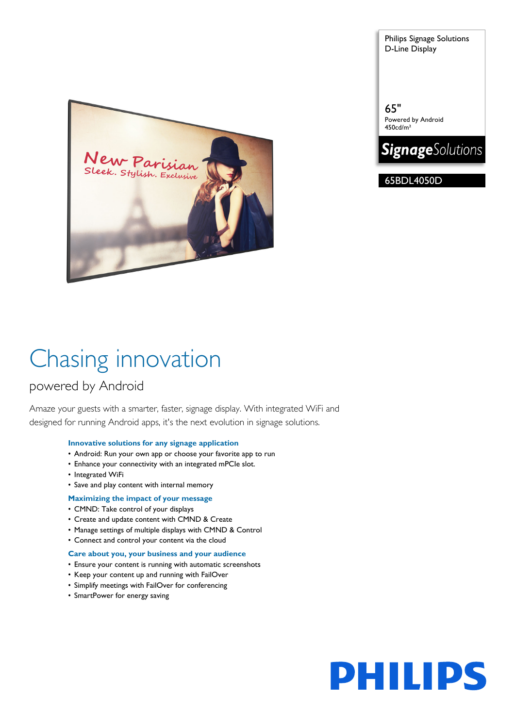Sleek. Stylish. Exclusive

Chasing innovation

# powered by Android

Amaze your guests with a smarter, faster, signage display. With integrated WiFi and designed for running Android apps, it's the next evolution in signage solutions.

# **Innovative solutions for any signage application**

- Android: Run your own app or choose your favorite app to run
- Enhance your connectivity with an integrated mPCIe slot.
- Integrated WiFi
- Save and play content with internal memory
- **Maximizing the impact of your message**
- CMND: Take control of your displays
- Create and update content with CMND & Create
- Manage settings of multiple displays with CMND & Control
- Connect and control your content via the cloud

### **Care about you, your business and your audience**

- Ensure your content is running with automatic screenshots
- Keep your content up and running with FailOver
- Simplify meetings with FailOver for conferencing
- SmartPower for energy saving

Philips Signage Solutions D-Line Display

65" Powered by Android 450cd/m²



65BDL4050D

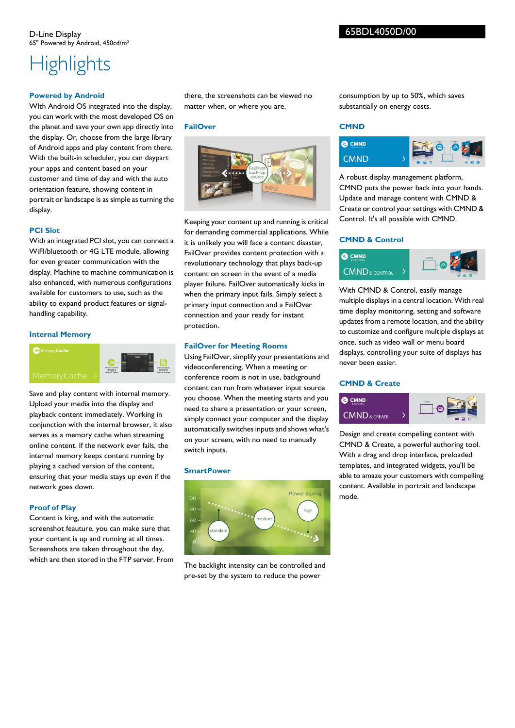# **Highlights**

### **Powered by Android**

WIth Android OS integrated into the display, you can work with the most developed OS on the planet and save your own app directly into the display. Or, choose from the large library of Android apps and play content from there. With the built-in scheduler, you can daypart your apps and content based on your customer and time of day and with the auto orientation feature, showing content in portrait or landscape is as simple as turning the display.

# **PCI Slot**

With an integrated PCI slot, you can connect a WiFI/bluetooth or 4G LTE module, allowing for even greater communication with the display. Machine to machine communication is also enhanced, with numerous configurations available for customers to use, such as the ability to expand product features or signalhandling capability.

# **Internal Memory**



Save and play content with internal memory. Upload your media into the display and playback content immediately. Working in conjunction with the internal browser, it also serves as a memory cache when streaming online content. If the network ever fails, the internal memory keeps content running by playing a cached version of the content, ensuring that your media stays up even if the network goes down.

# **Proof of Play**

Content is king, and with the automatic screenshot feauture, you can make sure that your content is up and running at all times. Screenshots are taken throughout the day, which are then stored in the FTP server. From there, the screenshots can be viewed no matter when, or where you are.

# **FailOver**



Keeping your content up and running is critical for demanding commercial applications. While it is unlikely you will face a content disaster, FailOver provides content protection with a revolutionary technology that plays back-up content on screen in the event of a media player failure. FailOver automatically kicks in when the primary input fails. Simply select a primary input connection and a FailOver connection and your ready for instant protection.

# **FailOver for Meeting Rooms**

Using FailOver, simplify your presentations and videoconferencing. When a meeting or conference room is not in use, background content can run from whatever input source you choose. When the meeting starts and you need to share a presentation or your screen, simply connect your computer and the display automatically switches inputs and shows what's on your screen, with no need to manually switch inputs.

### **SmartPower**



The backlight intensity can be controlled and pre-set by the system to reduce the power

consumption by up to 50%, which saves substantially on energy costs.

# **CMND**



A robust display management platform, CMND puts the power back into your hands. Update and manage content with CMND & Create or control your settings with CMND & Control. It's all possible with CMND.

# **CMND & Control**



With CMND & Control, easily manage multiple displays in a central location. With real time display monitoring, setting and software updates from a remote location, and the ability to customize and configure multiple displays at once, such as video wall or menu board displays, controlling your suite of displays has never been easier.

# **CMND & Create**



Design and create compelling content with CMND & Create, a powerful authoring tool. With a drag and drop interface, preloaded templates, and integrated widgets, you'll be able to amaze your customers with compelling content. Available in portrait and landscape mode.